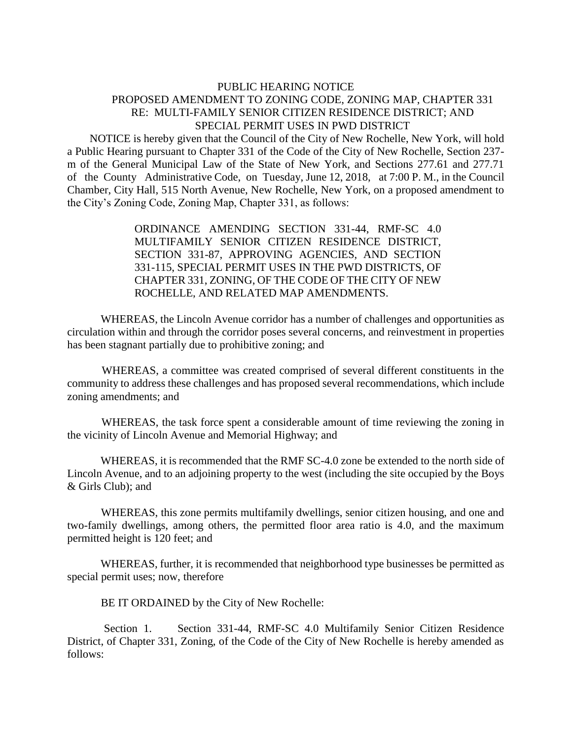## PUBLIC HEARING NOTICE PROPOSED AMENDMENT TO ZONING CODE, ZONING MAP, CHAPTER 331 RE: MULTI-FAMILY SENIOR CITIZEN RESIDENCE DISTRICT; AND SPECIAL PERMIT USES IN PWD DISTRICT

 NOTICE is hereby given that the Council of the City of New Rochelle, New York, will hold a Public Hearing pursuant to Chapter 331 of the Code of the City of New Rochelle, Section 237 m of the General Municipal Law of the State of New York, and Sections 277.61 and 277.71 of the County Administrative Code, on Tuesday, June 12, 2018, at 7:00 P. M., in the Council Chamber, City Hall, 515 North Avenue, New Rochelle, New York, on a proposed amendment to the City's Zoning Code, Zoning Map, Chapter 331, as follows:

> ORDINANCE AMENDING SECTION 331-44, RMF-SC 4.0 MULTIFAMILY SENIOR CITIZEN RESIDENCE DISTRICT, SECTION 331-87, APPROVING AGENCIES, AND SECTION 331-115, SPECIAL PERMIT USES IN THE PWD DISTRICTS, OF CHAPTER 331, ZONING, OF THE CODE OF THE CITY OF NEW ROCHELLE, AND RELATED MAP AMENDMENTS.

 WHEREAS, the Lincoln Avenue corridor has a number of challenges and opportunities as circulation within and through the corridor poses several concerns, and reinvestment in properties has been stagnant partially due to prohibitive zoning; and

 WHEREAS, a committee was created comprised of several different constituents in the community to address these challenges and has proposed several recommendations, which include zoning amendments; and

 WHEREAS, the task force spent a considerable amount of time reviewing the zoning in the vicinity of Lincoln Avenue and Memorial Highway; and

 WHEREAS, it is recommended that the RMF SC-4.0 zone be extended to the north side of Lincoln Avenue, and to an adjoining property to the west (including the site occupied by the Boys & Girls Club); and

 WHEREAS, this zone permits multifamily dwellings, senior citizen housing, and one and two-family dwellings, among others, the permitted floor area ratio is 4.0, and the maximum permitted height is 120 feet; and

 WHEREAS, further, it is recommended that neighborhood type businesses be permitted as special permit uses; now, therefore

BE IT ORDAINED by the City of New Rochelle:

 Section 1. Section 331-44, RMF-SC 4.0 Multifamily Senior Citizen Residence District, of Chapter 331, Zoning, of the Code of the City of New Rochelle is hereby amended as follows: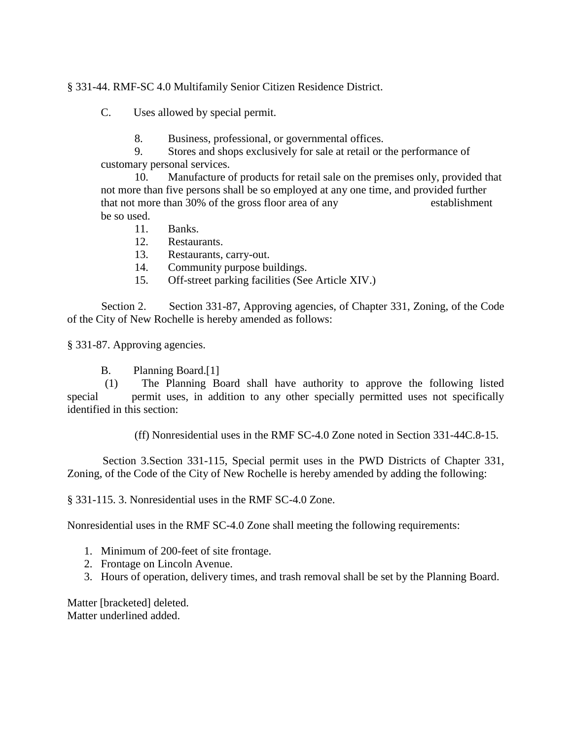## § 331-44. RMF-SC 4.0 Multifamily Senior Citizen Residence District.

C. Uses allowed by special permit.

- 8. Business, professional, or governmental offices.
- 9. Stores and shops exclusively for sale at retail or the performance of customary personal services.

 10. Manufacture of products for retail sale on the premises only, provided that not more than five persons shall be so employed at any one time, and provided further that not more than 30% of the gross floor area of any establishment be so used.

- 11. Banks.
- 12. Restaurants.
- 13. Restaurants, carry-out.
- 14. Community purpose buildings.
- 15. Off-street parking facilities (See Article XIV.)

Section 2. Section 331-87, Approving agencies, of Chapter 331, Zoning, of the Code of the City of New Rochelle is hereby amended as follows:

§ 331-87. Approving agencies.

B. Planning Board.[1]

 (1) The Planning Board shall have authority to approve the following listed special permit uses, in addition to any other specially permitted uses not specifically identified in this section:

(ff) Nonresidential uses in the RMF SC-4.0 Zone noted in Section 331-44C.8-15.

 Section 3.Section 331-115, Special permit uses in the PWD Districts of Chapter 331, Zoning, of the Code of the City of New Rochelle is hereby amended by adding the following:

§ 331-115. 3. Nonresidential uses in the RMF SC-4.0 Zone.

Nonresidential uses in the RMF SC-4.0 Zone shall meeting the following requirements:

- 1. Minimum of 200-feet of site frontage.
- 2. Frontage on Lincoln Avenue.
- 3. Hours of operation, delivery times, and trash removal shall be set by the Planning Board.

Matter [bracketed] deleted. Matter underlined added.